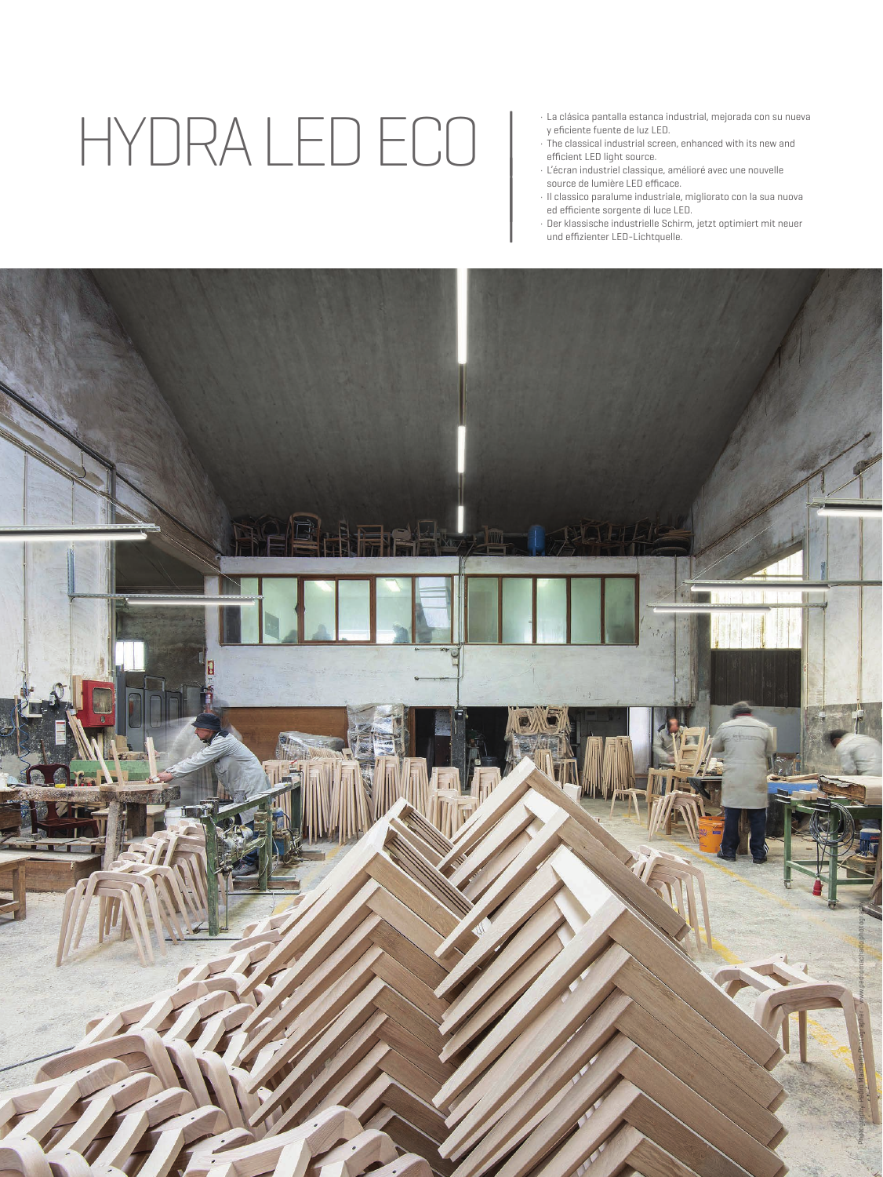# HYDRA LED ECO

- · La clásica pantalla estanca industrial, mejorada con su nueva y eficiente fuente de luz LED.
- · The classical industrial screen, enhanced with its new and efficient LED light source.
- · L'écran industriel classique, amélioré avec une nouvelle source de lumière LED efficace.

|

| |

- · Il classico paralume industriale, migliorato con la sua nuova ed efficiente sorgente di luce LED.
- · Der klassische industrielle Schirm, jetzt optimiert mit neuer und effizienter LED-Lichtquelle.

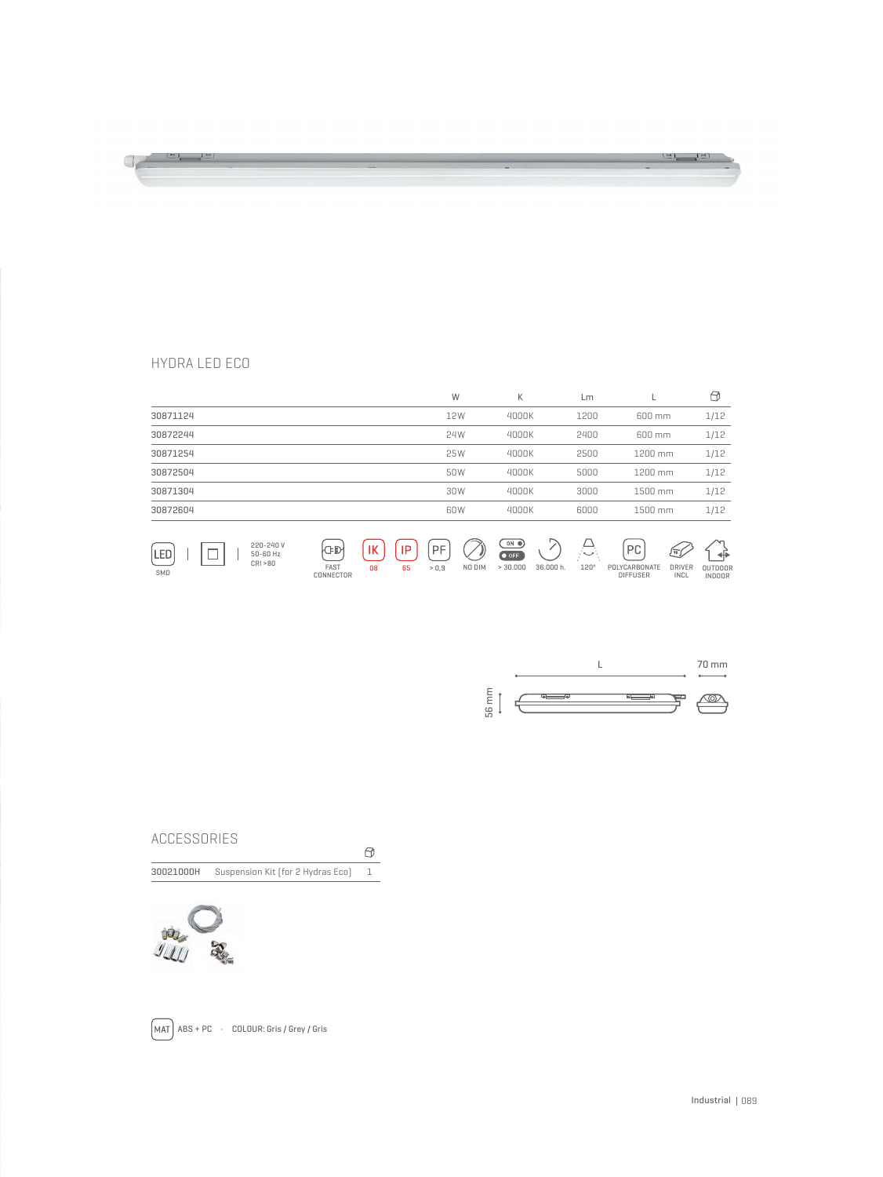### <u>in in In</u>  $\frac{1}{\sqrt{2}}$  (c)  $\frac{1}{\sqrt{2}}$

#### HYDRA LED ECO

SMD

|                                          |                          |                        | W                             | К                                                                            | Lm         |                                          | €               |
|------------------------------------------|--------------------------|------------------------|-------------------------------|------------------------------------------------------------------------------|------------|------------------------------------------|-----------------|
| 30871124                                 |                          |                        | 12W                           | 4000K                                                                        | 1200       | 600 mm                                   | 1/12            |
| 30872244                                 |                          |                        | 24W                           | 4000K                                                                        | 2400       | 600 mm                                   | 1/12            |
| 30871254                                 |                          |                        | 25W                           | 4000K                                                                        | 2500       | 1200 mm                                  | 1/12            |
| 30872504                                 |                          |                        | 50W                           | 4000K                                                                        | 5000       | 1200 mm                                  | 1/12            |
| 30871304                                 |                          |                        | 30W                           | 4000K                                                                        | 3000       | 1500 mm                                  | 1/12            |
| 30872604                                 |                          |                        | 60W                           | 4000K                                                                        | 6000       | 1500 mm                                  | 1/12            |
| 220-240 V<br>LED<br>50-60 Hz<br>CRI > 80 | <b>CD</b><br><b>FAOT</b> | IК<br>IP<br>nn.<br>OF. | PF<br>$-0.0$<br><b>MO DIM</b> | $\overline{\phantom{a}}$ on $\bullet$<br>$\bullet$ OFF<br>OC OOO H<br>0.0000 | €.<br>1000 | PC<br>瓦<br><b>DOUGO</b><br>DOLVOADDOMATE | +⊪<br>$\bigcap$ |

DIFFUSER POLYCARBONATE > 0,9 NO DIM > 30.000 36.000 h. 120º DRIVER INCL <sup>08</sup> <sup>65</sup> OUTDOOR INDOOR FAST CONNECTOR



#### ACCESSORIES

 $\Theta$ 

30021000H Suspension Kit (for 2 Hydras Eco) 1





 $\boxed{\text{MAT}}$  ABS + PC  $\cdot$  COLOUR: Gris / Grey / Gris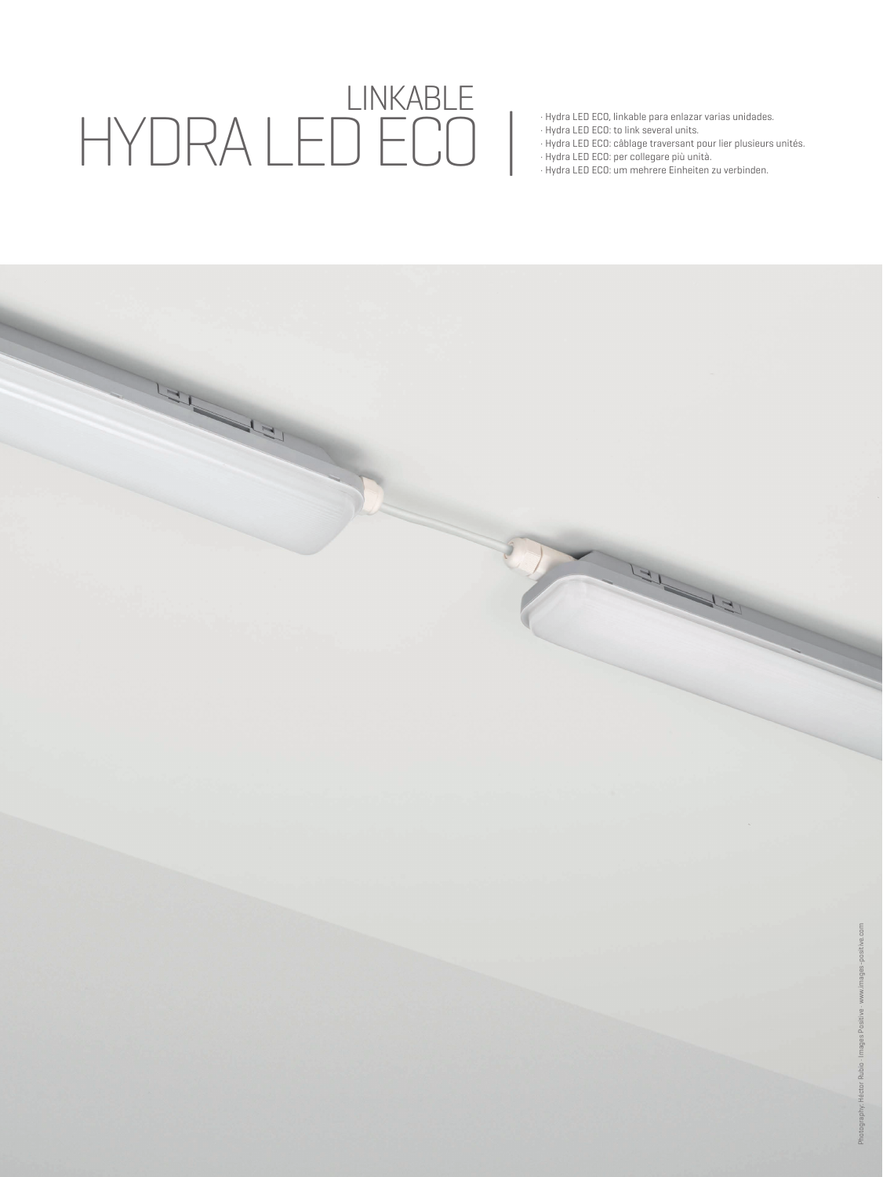## LINKABLE HYDRA LED ECO |

- · Hydra LED ECO, linkable para enlazar varias unidades.
- · Hydra LED ECO: to link several units.
- · Hydra LED ECO: câblage traversant pour lier plusieurs unités.
- · Hydra LED ECO: per collegare più unità.
- · Hydra LED ECO: um mehrere Einheiten zu verbinden.